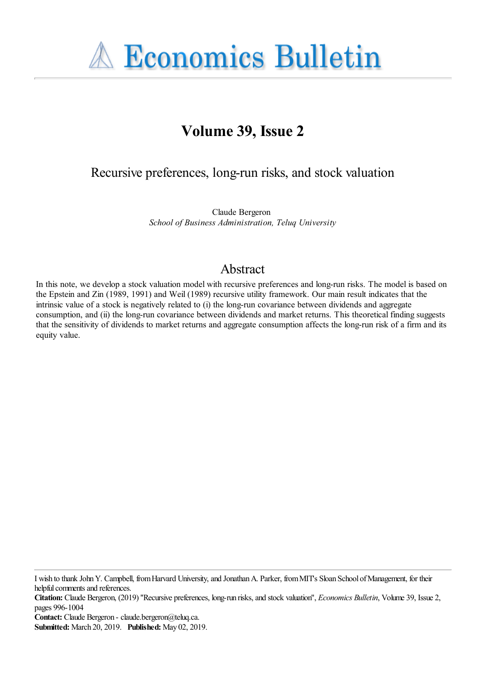**A Economics Bulletin** 

# **Volume 39, Issue 2**

# Recursive preferences, long-run risks, and stock valuation

Claude Bergeron *School of Business Administration, Teluq University*

# Abstract

In this note, we develop a stock valuation model with recursive preferences and long-run risks. The model is based on the Epstein and Zin (1989, 1991) and Weil (1989) recursive utility framework. Our main result indicates that the intrinsic value of a stock is negatively related to (i) the long-run covariance between dividends and aggregate consumption, and (ii) the long-run covariance between dividends and market returns. This theoretical finding suggests that the sensitivity of dividends to market returns and aggregate consumption affects the long-run risk of a firm and its equity value.

I wish to thank John Y. Campbell, from Harvard University, and Jonathan A. Parker, from MIT's Sloan School of Management, for their helpful comments and references.

**Citation:** Claude Bergeron, (2019) ''Recursive preferences, long-run risks, and stock valuation'', *Economics Bulletin*, Volume 39, Issue 2, pages 996-1004

**Contact:** Claude Bergeron - claude.bergeron@teluq.ca.

**Submitted:** March 20, 2019. **Published:** May 02, 2019.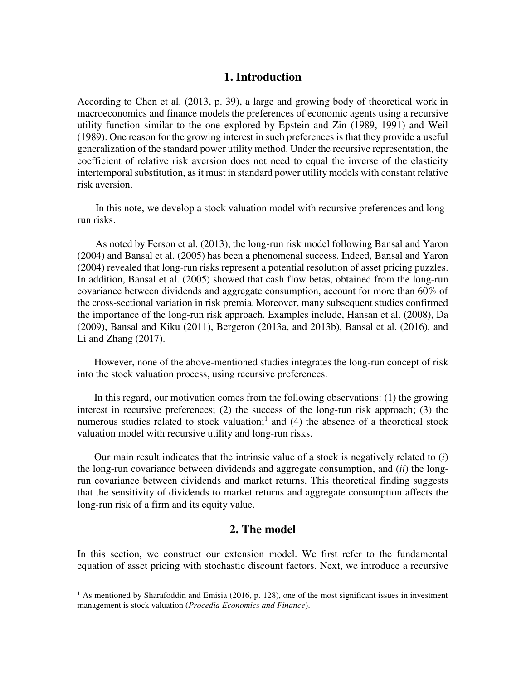# **1. Introduction**

According to Chen et al. (2013, p. 39), a large and growing body of theoretical work in macroeconomics and finance models the preferences of economic agents using a recursive utility function similar to the one explored by Epstein and Zin (1989, 1991) and Weil (1989). One reason for the growing interest in such preferences is that they provide a useful generalization of the standard power utility method. Under the recursive representation, the coefficient of relative risk aversion does not need to equal the inverse of the elasticity intertemporal substitution, as it must in standard power utility models with constant relative risk aversion.

 In this note, we develop a stock valuation model with recursive preferences and longrun risks.

 As noted by Ferson et al. (2013), the long-run risk model following Bansal and Yaron (2004) and Bansal et al. (2005) has been a phenomenal success. Indeed, Bansal and Yaron (2004) revealed that long-run risks represent a potential resolution of asset pricing puzzles. In addition, Bansal et al. (2005) showed that cash flow betas, obtained from the long-run covariance between dividends and aggregate consumption, account for more than 60% of the cross-sectional variation in risk premia. Moreover, many subsequent studies confirmed the importance of the long-run risk approach. Examples include, Hansan et al. (2008), Da (2009), Bansal and Kiku (2011), Bergeron (2013a, and 2013b), Bansal et al. (2016), and Li and Zhang (2017).

 However, none of the above-mentioned studies integrates the long-run concept of risk into the stock valuation process, using recursive preferences.

 In this regard, our motivation comes from the following observations: (1) the growing interest in recursive preferences; (2) the success of the long-run risk approach; (3) the numerous studies related to stock valuation;<sup>1</sup> and (4) the absence of a theoretical stock valuation model with recursive utility and long-run risks.

 Our main result indicates that the intrinsic value of a stock is negatively related to (*i*) the long-run covariance between dividends and aggregate consumption, and (*ii*) the longrun covariance between dividends and market returns. This theoretical finding suggests that the sensitivity of dividends to market returns and aggregate consumption affects the long-run risk of a firm and its equity value.

## **2. The model**

In this section, we construct our extension model. We first refer to the fundamental equation of asset pricing with stochastic discount factors. Next, we introduce a recursive

 $\overline{a}$ 

<sup>&</sup>lt;sup>1</sup> As mentioned by Sharafoddin and Emisia (2016, p. 128), one of the most significant issues in investment management is stock valuation (*Procedia Economics and Finance*).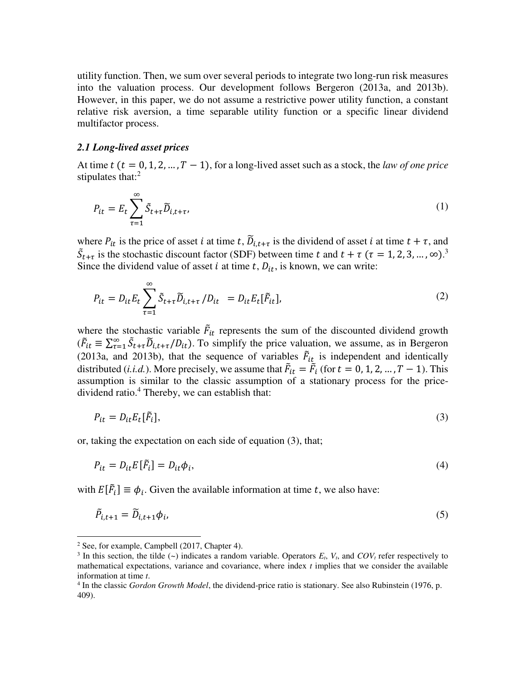utility function. Then, we sum over several periods to integrate two long-run risk measures into the valuation process. Our development follows Bergeron (2013a, and 2013b). However, in this paper, we do not assume a restrictive power utility function, a constant relative risk aversion, a time separable utility function or a specific linear dividend multifactor process.

#### *2.1 Long-lived asset prices*

At time  $t$  ( $t = 0, 1, 2, ..., T - 1$ ), for a long-lived asset such as a stock, the *law of one price* stipulates that: $<sup>2</sup>$ </sup>

$$
P_{it} = E_t \sum_{\tau=1}^{\infty} \tilde{S}_{t+\tau} \tilde{D}_{i,t+\tau},
$$
\n(1)

where  $P_{it}$  is the price of asset *i* at time *t*,  $\tilde{D}_{i,t+\tau}$  is the dividend of asset *i* at time  $t + \tau$ , and  $\tilde{S}_{t+\tau}$  is the stochastic discount factor (SDF) between time t and  $t+\tau$  ( $\tau = 1, 2, 3, ..., \infty$ ).<sup>3</sup> Since the dividend value of asset *i* at time  $t$ ,  $D_{it}$ , is known, we can write:

$$
P_{it} = D_{it} E_t \sum_{\tau=1}^{\infty} \tilde{S}_{t+\tau} \tilde{D}_{i,t+\tau} / D_{it} = D_{it} E_t [\tilde{F}_{it}], \qquad (2)
$$

where the stochastic variable  $\vec{F}_{it}$  represents the sum of the discounted dividend growth  $(\tilde{F}_{it} \equiv \sum_{\tau=1}^{\infty} \tilde{S}_{t+\tau} \tilde{D}_{i,t+\tau}/D_{it})$ . To simplify the price valuation, we assume, as in Bergeron (2013a, and 2013b), that the sequence of variables  $\vec{F}_{it}$  is independent and identically distributed (*i.i.d.*). More precisely, we assume that  $\vec{F}_{it} = \vec{F}_i$  (for  $t = 0, 1, 2, ..., T - 1$ ). This assumption is similar to the classic assumption of a stationary process for the pricedividend ratio.<sup>4</sup> Thereby, we can establish that:

$$
P_{it} = D_{it} E_t[\tilde{F}_i],\tag{3}
$$

or, taking the expectation on each side of equation (3), that;

$$
P_{it} = D_{it} E[\tilde{F}_i] = D_{it} \phi_i, \tag{4}
$$

with  $E[F_i] \equiv \phi_i$ . Given the available information at time t, we also have:

$$
\tilde{P}_{i,t+1} = \tilde{D}_{i,t+1} \phi_i,\tag{5}
$$

 $\overline{a}$ 

 $2$  See, for example, Campbell (2017, Chapter 4).

<sup>&</sup>lt;sup>3</sup> In this section, the tilde  $(\sim)$  indicates a random variable. Operators  $E_t$ ,  $V_t$ , and  $COV_t$  refer respectively to mathematical expectations, variance and covariance, where index *t* implies that we consider the available information at time *t*.

<sup>4</sup> In the classic *Gordon Growth Model*, the dividend-price ratio is stationary. See also Rubinstein (1976, p. 409).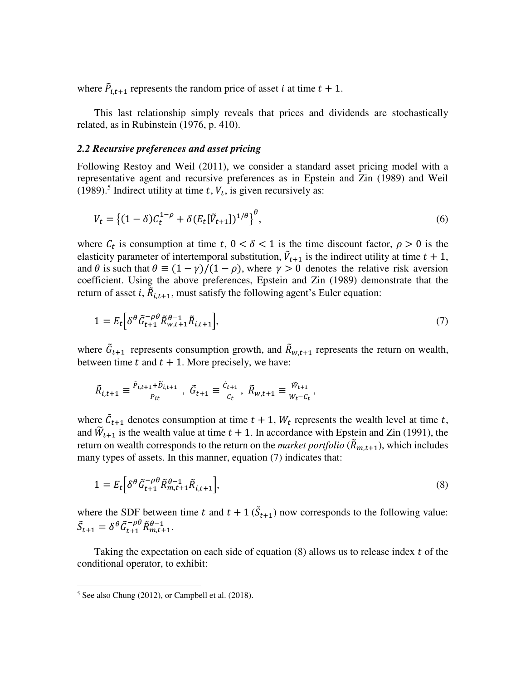where  $\tilde{P}_{i,t+1}$  represents the random price of asset *i* at time  $t + 1$ .

 This last relationship simply reveals that prices and dividends are stochastically related, as in Rubinstein (1976, p. 410).

#### *2.2 Recursive preferences and asset pricing*

Following Restoy and Weil (2011), we consider a standard asset pricing model with a representative agent and recursive preferences as in Epstein and Zin (1989) and Weil (1989).<sup>5</sup> Indirect utility at time t,  $V_t$ , is given recursively as:

$$
V_t = \left\{ (1 - \delta) C_t^{1 - \rho} + \delta (E_t [\tilde{V}_{t+1}])^{1/\theta} \right\}^{\theta},\tag{6}
$$

where  $C_t$  is consumption at time  $t, 0 < \delta < 1$  is the time discount factor,  $\rho > 0$  is the elasticity parameter of intertemporal substitution,  $\tilde{V}_{t+1}$  is the indirect utility at time  $t + 1$ , and  $\theta$  is such that  $\theta \equiv (1 - \gamma)/(1 - \rho)$ , where  $\gamma > 0$  denotes the relative risk aversion coefficient. Using the above preferences, Epstein and Zin (1989) demonstrate that the return of asset *i*,  $\ddot{R}_{i,t+1}$ , must satisfy the following agent's Euler equation:

$$
1 = E_t \left[ \delta^{\theta} \tilde{G}_{t+1}^{-\rho \theta} \tilde{R}_{w,t+1}^{\theta - 1} \tilde{R}_{i,t+1} \right],\tag{7}
$$

where  $\hat{G}_{t+1}$  represents consumption growth, and  $\hat{R}_{w,t+1}$  represents the return on wealth, between time  $t$  and  $t + 1$ . More precisely, we have:

$$
\tilde{R}_{i,t+1} \equiv \frac{\tilde{P}_{i,t+1} + \tilde{D}_{i,t+1}}{P_{it}} \ , \ \tilde{G}_{t+1} \equiv \frac{\tilde{C}_{t+1}}{C_t} \ , \ \tilde{R}_{w,t+1} \equiv \frac{\tilde{W}_{t+1}}{W_t - C_t} \ ,
$$

where  $\mathcal{C}_{t+1}$  denotes consumption at time  $t + 1$ ,  $W_t$  represents the wealth level at time t, and  $\widetilde{W}_{t+1}$  is the wealth value at time  $t + 1$ . In accordance with Epstein and Zin (1991), the return on wealth corresponds to the return on the *market portfolio* ( $\tilde{R}_{m,t+1}$ ), which includes many types of assets. In this manner, equation (7) indicates that:

$$
1 = E_t \Big[ \delta^\theta \tilde{G}_{t+1}^{-\rho \theta} \tilde{R}_{m,t+1}^{\theta-1} \tilde{R}_{i,t+1} \Big], \tag{8}
$$

where the SDF between time t and  $t + 1$  ( $\ddot{S}_{t+1}$ ) now corresponds to the following value:  $\tilde{S}_{t+1} = \delta^{\theta} \tilde{G}_{t+1}^{-\rho \theta} \tilde{R}_{m,t+1}^{\theta-1}.$ 

Taking the expectation on each side of equation  $(8)$  allows us to release index t of the conditional operator, to exhibit:

 5 See also Chung (2012), or Campbell et al. (2018).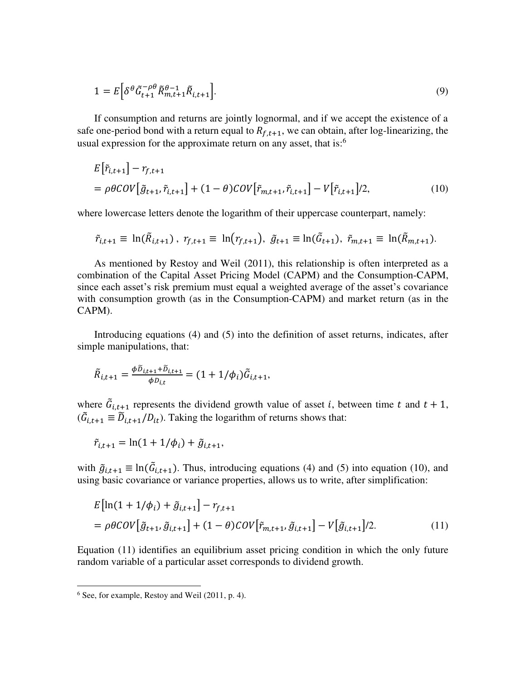$$
1 = E\left[\delta^{\theta} \tilde{G}_{t+1}^{-\rho\theta} \tilde{R}_{m,t+1}^{\theta-1} \tilde{R}_{i,t+1}\right].
$$
\n(9)

 If consumption and returns are jointly lognormal, and if we accept the existence of a safe one-period bond with a return equal to  $R_{f,t+1}$ , we can obtain, after log-linearizing, the usual expression for the approximate return on any asset, that is:<sup>6</sup>

$$
E[\tilde{r}_{i,t+1}] - r_{f,t+1}
$$
  
=  $\rho \theta \text{COV}[\tilde{g}_{t+1}, \tilde{r}_{i,t+1}] + (1 - \theta) \text{COV}[\tilde{r}_{m,t+1}, \tilde{r}_{i,t+1}] - V[\tilde{r}_{i,t+1}]/2,$  (10)

where lowercase letters denote the logarithm of their uppercase counterpart, namely:

$$
\tilde{r}_{i,t+1} \equiv \ln(\tilde{R}_{i,t+1}), \ r_{f,t+1} \equiv \ln(r_{f,t+1}), \ \tilde{g}_{t+1} \equiv \ln(\tilde{G}_{t+1}), \ \tilde{r}_{m,t+1} \equiv \ln(\tilde{R}_{m,t+1}).
$$

 As mentioned by Restoy and Weil (2011), this relationship is often interpreted as a combination of the Capital Asset Pricing Model (CAPM) and the Consumption-CAPM, since each asset's risk premium must equal a weighted average of the asset's covariance with consumption growth (as in the Consumption-CAPM) and market return (as in the CAPM).

 Introducing equations (4) and (5) into the definition of asset returns, indicates, after simple manipulations, that:

$$
\tilde{R}_{i,t+1} = \frac{\phi \tilde{D}_{i,t+1} + \tilde{D}_{i,t+1}}{\phi D_{i,t}} = (1 + 1/\phi_i) \tilde{G}_{i,t+1},
$$

where  $\tilde{G}_{i,t+1}$  represents the dividend growth value of asset *i*, between time *t* and  $t + 1$ ,  $(\tilde{G}_{i,t+1} \equiv \tilde{D}_{i,t+1}/D_{it})$ . Taking the logarithm of returns shows that:

$$
\tilde{r}_{i,t+1} = \ln(1 + 1/\phi_i) + \tilde{g}_{i,t+1},
$$

with  $\tilde{g}_{i,t+1} \equiv \ln(\tilde{G}_{i,t+1})$ . Thus, introducing equations (4) and (5) into equation (10), and using basic covariance or variance properties, allows us to write, after simplification:

$$
E\big[\ln(1+1/\phi_i) + \tilde{g}_{i,t+1}\big] - r_{f,t+1}
$$
  
=  $\rho \theta \mathcal{C} \mathcal{O} V\big[\tilde{g}_{t+1}, \tilde{g}_{i,t+1}\big] + (1-\theta) \mathcal{C} \mathcal{O} V\big[\tilde{r}_{m,t+1}, \tilde{g}_{i,t+1}\big] - V\big[\tilde{g}_{i,t+1}\big]/2.$  (11)

Equation (11) identifies an equilibrium asset pricing condition in which the only future random variable of a particular asset corresponds to dividend growth.

 6 See, for example, Restoy and Weil (2011, p. 4).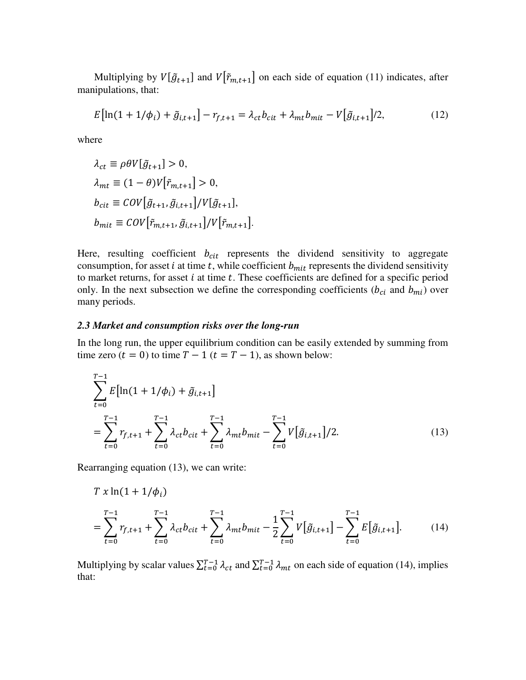Multiplying by  $V[\tilde{g}_{t+1}]$  and  $V[\tilde{r}_{m,t+1}]$  on each side of equation (11) indicates, after manipulations, that:

$$
E\big[\ln(1+1/\phi_i) + \tilde{g}_{i,t+1}\big] - r_{f,t+1} = \lambda_{ct} b_{cit} + \lambda_{mt} b_{mit} - V\big[\tilde{g}_{i,t+1}\big]/2,\tag{12}
$$

where

$$
\lambda_{ct} \equiv \rho \theta V[\tilde{g}_{t+1}] > 0,
$$
  
\n
$$
\lambda_{mt} \equiv (1 - \theta) V[\tilde{r}_{m,t+1}] > 0,
$$
  
\n
$$
b_{cit} \equiv \text{COV}[\tilde{g}_{t+1}, \tilde{g}_{i,t+1}] / V[\tilde{g}_{t+1}],
$$
  
\n
$$
b_{mit} \equiv \text{COV}[\tilde{r}_{m,t+1}, \tilde{g}_{i,t+1}] / V[\tilde{r}_{m,t+1}].
$$

Here, resulting coefficient  $b_{\text{cit}}$  represents the dividend sensitivity to aggregate consumption, for asset  $i$  at time  $t$ , while coefficient  $b<sub>mit</sub>$  represents the dividend sensitivity to market returns, for asset  $i$  at time  $t$ . These coefficients are defined for a specific period only. In the next subsection we define the corresponding coefficients ( $b_{ci}$  and  $b_{mi}$ ) over many periods.

#### *2.3 Market and consumption risks over the long-run*

In the long run, the upper equilibrium condition can be easily extended by summing from time zero  $(t = 0)$  to time  $T - 1$   $(t = T - 1)$ , as shown below:

$$
\sum_{t=0}^{T-1} E\left[\ln(1+1/\phi_i) + \tilde{g}_{i,t+1}\right]
$$
\n
$$
= \sum_{t=0}^{T-1} r_{f,t+1} + \sum_{t=0}^{T-1} \lambda_{ct} b_{cit} + \sum_{t=0}^{T-1} \lambda_{mt} b_{mit} - \sum_{t=0}^{T-1} V\left[\tilde{g}_{i,t+1}\right]/2. \tag{13}
$$

Rearranging equation (13), we can write:

$$
T x \ln(1 + 1/\phi_i)
$$
  
=  $\sum_{t=0}^{T-1} r_{f,t+1} + \sum_{t=0}^{T-1} \lambda_{ct} b_{cit} + \sum_{t=0}^{T-1} \lambda_{mt} b_{mit} - \frac{1}{2} \sum_{t=0}^{T-1} V[\tilde{g}_{i,t+1}] - \sum_{t=0}^{T-1} E[\tilde{g}_{i,t+1}].$  (14)

Multiplying by scalar values  $\sum_{t=0}^{T-1} \lambda_{ct}$  and  $\sum_{t=0}^{T-1} \lambda_{mt}$  on each side of equation (14), implies that: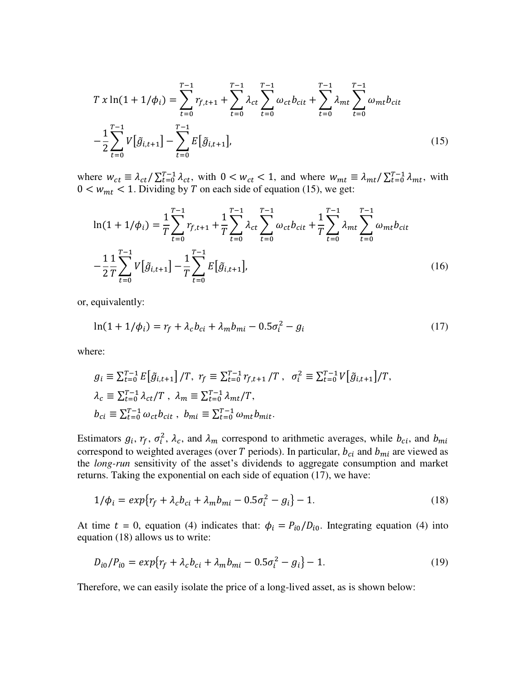$$
T x \ln(1 + 1/\phi_i) = \sum_{t=0}^{T-1} r_{f,t+1} + \sum_{t=0}^{T-1} \lambda_{ct} \sum_{t=0}^{T-1} \omega_{ct} b_{cit} + \sum_{t=0}^{T-1} \lambda_{mt} \sum_{t=0}^{T-1} \omega_{mt} b_{cit}
$$

$$
-\frac{1}{2} \sum_{t=0}^{T-1} V[\tilde{g}_{i,t+1}] - \sum_{t=0}^{T-1} E[\tilde{g}_{i,t+1}], \qquad (15)
$$

where  $w_{ct} \equiv \lambda_{ct} / \sum_{t=0}^{T-1} \lambda_{ct}$ , with  $0 < w_{ct} < 1$ , and where  $w_{mt} \equiv \lambda_{mt} / \sum_{t=0}^{T-1} \lambda_{mt}$ , with  $0 \lt w_{mt} \lt 1$ . Dividing by T on each side of equation (15), we get:

$$
\ln(1 + 1/\phi_i) = \frac{1}{T} \sum_{t=0}^{T-1} r_{f,t+1} + \frac{1}{T} \sum_{t=0}^{T-1} \lambda_{ct} \sum_{t=0}^{T-1} \omega_{ct} b_{cit} + \frac{1}{T} \sum_{t=0}^{T-1} \lambda_{mt} \sum_{t=0}^{T-1} \omega_{mt} b_{cit}
$$

$$
-\frac{1}{2} \frac{1}{T} \sum_{t=0}^{T-1} V[\tilde{g}_{i,t+1}] - \frac{1}{T} \sum_{t=0}^{T-1} E[\tilde{g}_{i,t+1}], \qquad (16)
$$

or, equivalently:

$$
\ln(1 + 1/\phi_i) = r_f + \lambda_c b_{ci} + \lambda_m b_{mi} - 0.5\sigma_i^2 - g_i
$$
 (17)

where:

$$
g_i \equiv \sum_{t=0}^{T-1} E[\tilde{g}_{i,t+1}] / T, r_f \equiv \sum_{t=0}^{T-1} r_{f,t+1} / T, \sigma_i^2 \equiv \sum_{t=0}^{T-1} V[\tilde{g}_{i,t+1}] / T,
$$
  
\n
$$
\lambda_c \equiv \sum_{t=0}^{T-1} \lambda_{ct} / T, \lambda_m \equiv \sum_{t=0}^{T-1} \lambda_{mt} / T,
$$
  
\n
$$
b_{ci} \equiv \sum_{t=0}^{T-1} \omega_{ct} b_{cit}, b_{mi} \equiv \sum_{t=0}^{T-1} \omega_{mt} b_{mit}.
$$

Estimators  $g_i$ ,  $r_f$ ,  $\sigma_i^2$ ,  $\lambda_c$ , and  $\lambda_m$  correspond to arithmetic averages, while  $b_{ci}$ , and  $b_{mi}$ correspond to weighted averages (over T periods). In particular,  $b_{ci}$  and  $b_{mi}$  are viewed as the *long-run* sensitivity of the asset's dividends to aggregate consumption and market returns. Taking the exponential on each side of equation (17), we have:

$$
1/\phi_i = exp\{r_f + \lambda_c b_{ci} + \lambda_m b_{mi} - 0.5\sigma_i^2 - g_i\} - 1.
$$
 (18)

At time  $t = 0$ , equation (4) indicates that:  $\phi_i = P_{i0}/D_{i0}$ . Integrating equation (4) into equation (18) allows us to write:

$$
D_{i0}/P_{i0} = exp\{r_f + \lambda_c b_{ci} + \lambda_m b_{mi} - 0.5\sigma_i^2 - g_i\} - 1.
$$
\n(19)

Therefore, we can easily isolate the price of a long-lived asset, as is shown below: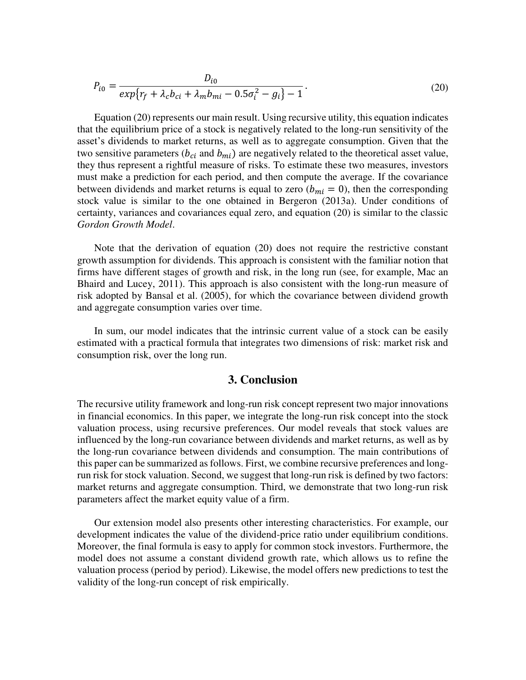$$
P_{i0} = \frac{D_{i0}}{exp\{r_f + \lambda_c b_{ci} + \lambda_m b_{mi} - 0.5\sigma_i^2 - g_i\} - 1}.
$$
\n(20)

 Equation (20) represents our main result. Using recursive utility, this equation indicates that the equilibrium price of a stock is negatively related to the long-run sensitivity of the asset's dividends to market returns, as well as to aggregate consumption. Given that the two sensitive parameters ( $b_{ci}$  and  $b_{mi}$ ) are negatively related to the theoretical asset value, they thus represent a rightful measure of risks. To estimate these two measures, investors must make a prediction for each period, and then compute the average. If the covariance between dividends and market returns is equal to zero ( $b_{mi} = 0$ ), then the corresponding stock value is similar to the one obtained in Bergeron (2013a). Under conditions of certainty, variances and covariances equal zero, and equation (20) is similar to the classic *Gordon Growth Model*.

 Note that the derivation of equation (20) does not require the restrictive constant growth assumption for dividends. This approach is consistent with the familiar notion that firms have different stages of growth and risk, in the long run (see, for example, Mac an Bhaird and Lucey, 2011). This approach is also consistent with the long-run measure of risk adopted by Bansal et al. (2005), for which the covariance between dividend growth and aggregate consumption varies over time.

 In sum, our model indicates that the intrinsic current value of a stock can be easily estimated with a practical formula that integrates two dimensions of risk: market risk and consumption risk, over the long run.

### **3. Conclusion**

The recursive utility framework and long-run risk concept represent two major innovations in financial economics. In this paper, we integrate the long-run risk concept into the stock valuation process, using recursive preferences. Our model reveals that stock values are influenced by the long-run covariance between dividends and market returns, as well as by the long-run covariance between dividends and consumption. The main contributions of this paper can be summarized as follows. First, we combine recursive preferences and longrun risk for stock valuation. Second, we suggest that long-run risk is defined by two factors: market returns and aggregate consumption. Third, we demonstrate that two long-run risk parameters affect the market equity value of a firm.

 Our extension model also presents other interesting characteristics. For example, our development indicates the value of the dividend-price ratio under equilibrium conditions. Moreover, the final formula is easy to apply for common stock investors. Furthermore, the model does not assume a constant dividend growth rate, which allows us to refine the valuation process (period by period). Likewise, the model offers new predictions to test the validity of the long-run concept of risk empirically.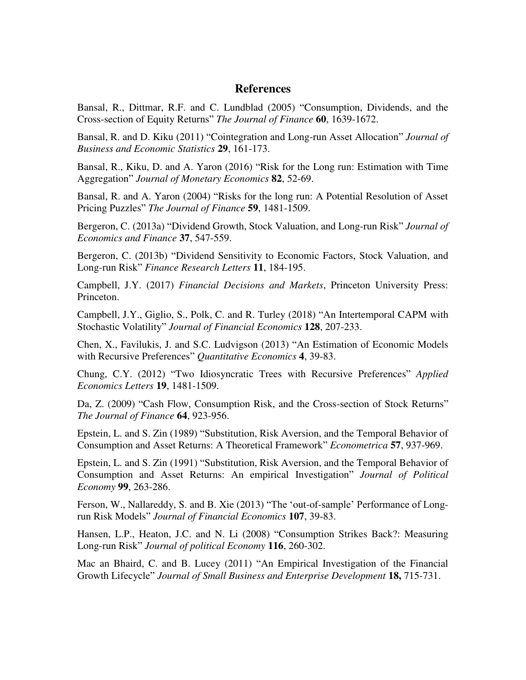### **References**

Bansal, R., Dittmar, R.F. and C. Lundblad (2005) "Consumption, Dividends, and the Cross-section of Equity Returnsˮ *The Journal of Finance* **60**, 1639-1672.

Bansal, R. and D. Kiku (2011) "Cointegration and Long-run Asset Allocation" *Journal of Business and Economic Statistics* **29**, 161-173.

Bansal, R., Kiku, D. and A. Yaron (2016) "Risk for the Long run: Estimation with Time Aggregationˮ *Journal of Monetary Economics* **82**, 52-69.

Bansal, R. and A. Yaron (2004) "Risks for the long run: A Potential Resolution of Asset Pricing Puzzlesˮ *The Journal of Finance* **59**, 1481-1509.

Bergeron, C. (2013a) "Dividend Growth, Stock Valuation, and Long-run Risk" *Journal of Economics and Finance* **37**, 547-559.

Bergeron, C. (2013b) "Dividend Sensitivity to Economic Factors, Stock Valuation, and Long-run Riskˮ *Finance Research Letters* **11**, 184-195.

Campbell, J.Y. (2017) *Financial Decisions and Markets*, Princeton University Press: Princeton.

Campbell, J.Y., Giglio, S., Polk, C. and R. Turley (2018) "An Intertemporal CAPM with Stochastic Volatility" Journal of Financial Economics 128, 207-233.

Chen, X., Favilukis, J. and S.C. Ludvigson (2013) "An Estimation of Economic Models with Recursive Preferences" *Quantitative Economics* 4, 39-83.

Chung, C.Y. (2012) "Two Idiosyncratic Trees with Recursive Preferences" Applied *Economics Letters* **19**, 1481-1509.

Da, Z. (2009) "Cash Flow, Consumption Risk, and the Cross-section of Stock Returns" *The Journal of Finance* **64**, 923-956.

Epstein, L. and S. Zin (1989) "Substitution, Risk Aversion, and the Temporal Behavior of Consumption and Asset Returns: A Theoretical Frameworkˮ *Econometrica* **57**, 937-969.

Epstein, L. and S. Zin (1991) "Substitution, Risk Aversion, and the Temporal Behavior of Consumption and Asset Returns: An empirical Investigation" *Journal of Political Economy* **99**, 263-286.

Ferson, W., Nallareddy, S. and B. Xie (2013) "The 'out-of-sample' Performance of Longrun Risk Modelsˮ *Journal of Financial Economics* **107**, 39-83.

Hansen, L.P., Heaton, J.C. and N. Li (2008) "Consumption Strikes Back?: Measuring Long-run Riskˮ *Journal of political Economy* **116**, 260-302.

Mac an Bhaird, C. and B. Lucey (2011) "An Empirical Investigation of the Financial Growth Lifecycleˮ *Journal of Small Business and Enterprise Development* **18,** 715-731.